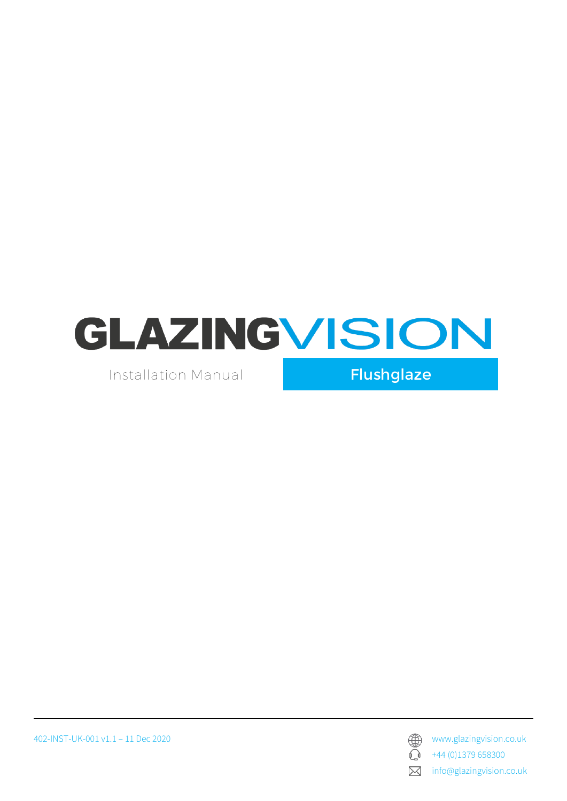

Installation Manual

Flushglaze

402-INST-UK-001 v1.1 – 11 Dec 2020 www.glazingvision.co.uk



+44 (0)1379 658300

info@glazingvision.co.uk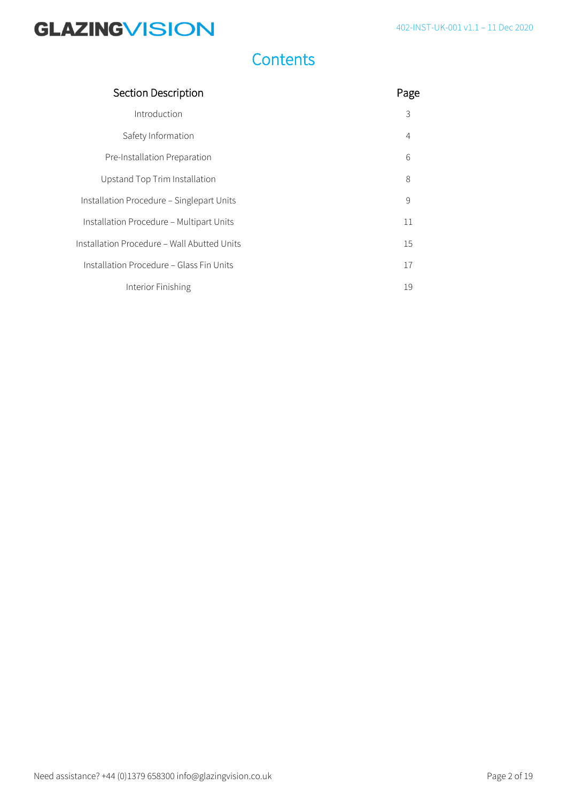## **Contents**

| <b>Section Description</b>                  | Page           |
|---------------------------------------------|----------------|
| Introduction                                | 3              |
| Safety Information                          | $\overline{4}$ |
| Pre-Installation Preparation                | 6              |
| Upstand Top Trim Installation               | 8              |
| Installation Procedure - Singlepart Units   | 9              |
| Installation Procedure - Multipart Units    | 11             |
| Installation Procedure – Wall Abutted Units |                |
| Installation Procedure - Glass Fin Units    | 17             |
| Interior Finishing                          | 19             |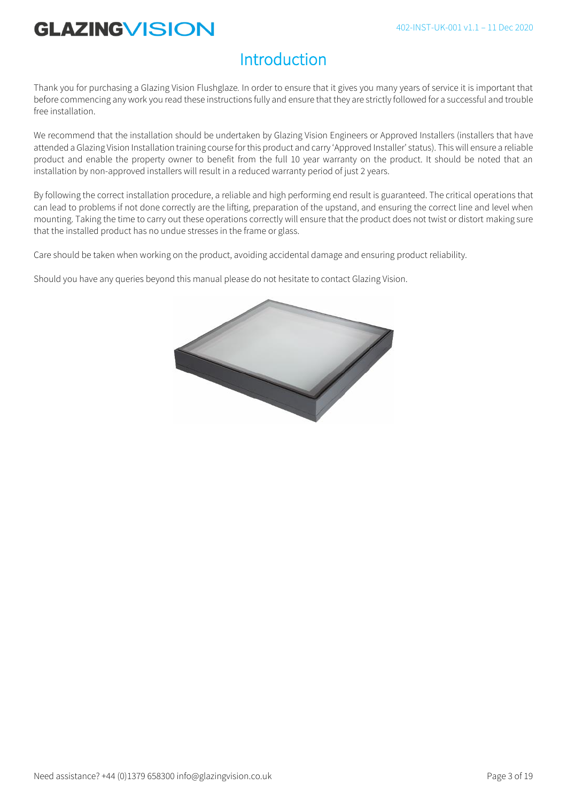# Introduction

Thank you for purchasing a Glazing Vision Flushglaze*.* In order to ensure that it gives you many years of service it is important that before commencing any work you read these instructions fully and ensure that they are strictly followed for a successful and trouble free installation.

We recommend that the installation should be undertaken by Glazing Vision Engineers or Approved Installers (installers that have attended a Glazing Vision Installation training course for this product and carry 'Approved Installer' status). This will ensure a reliable product and enable the property owner to benefit from the full 10 year warranty on the product. It should be noted that an installation by non-approved installers will result in a reduced warranty period of just 2 years.

By following the correct installation procedure, a reliable and high performing end result is guaranteed. The critical operations that can lead to problems if not done correctly are the lifting, preparation of the upstand, and ensuring the correct line and level when mounting. Taking the time to carry out these operations correctly will ensure that the product does not twist or distort making sure that the installed product has no undue stresses in the frame or glass.

Care should be taken when working on the product, avoiding accidental damage and ensuring product reliability.

Should you have any queries beyond this manual please do not hesitate to contact Glazing Vision.

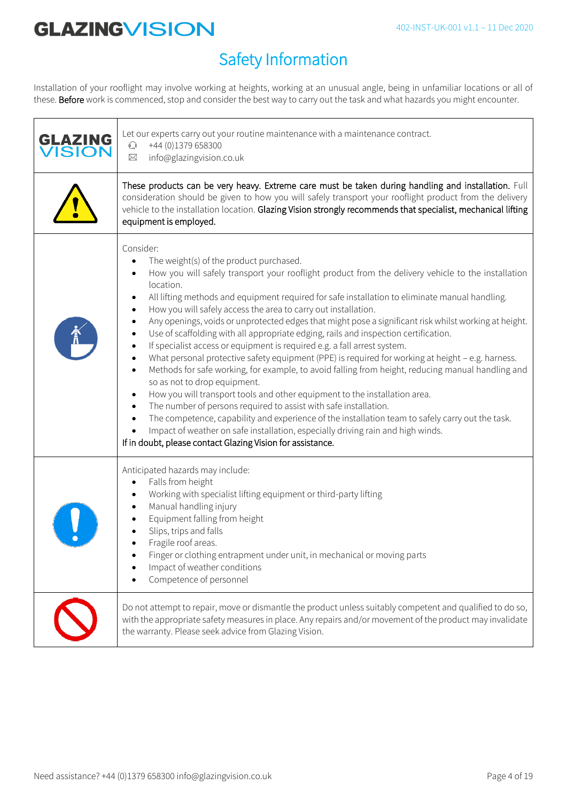# Safety Information

Installation of your rooflight may involve working at heights, working at an unusual angle, being in unfamiliar locations or all of these. Before work is commenced, stop and consider the best way to carry out the task and what hazards you might encounter.

| <b>GLAZING<br/>VISION</b> | Let our experts carry out your routine maintenance with a maintenance contract.<br>+44 (0)1379 658300<br>$\mathbb{C}$<br>info@glazingvision.co.uk<br>$\boxtimes$                                                                                                                                                                                                                                                                                                                                                                                                                                                                                                                                                                                                                                                                                                                                                                                                                                                                                                                                                                                                                                                                                                                                                                          |
|---------------------------|-------------------------------------------------------------------------------------------------------------------------------------------------------------------------------------------------------------------------------------------------------------------------------------------------------------------------------------------------------------------------------------------------------------------------------------------------------------------------------------------------------------------------------------------------------------------------------------------------------------------------------------------------------------------------------------------------------------------------------------------------------------------------------------------------------------------------------------------------------------------------------------------------------------------------------------------------------------------------------------------------------------------------------------------------------------------------------------------------------------------------------------------------------------------------------------------------------------------------------------------------------------------------------------------------------------------------------------------|
|                           | These products can be very heavy. Extreme care must be taken during handling and installation. Full<br>consideration should be given to how you will safely transport your rooflight product from the delivery<br>vehicle to the installation location. Glazing Vision strongly recommends that specialist, mechanical lifting<br>equipment is employed.                                                                                                                                                                                                                                                                                                                                                                                                                                                                                                                                                                                                                                                                                                                                                                                                                                                                                                                                                                                  |
|                           | Consider:<br>The weight(s) of the product purchased.<br>How you will safely transport your rooflight product from the delivery vehicle to the installation<br>location.<br>All lifting methods and equipment required for safe installation to eliminate manual handling.<br>How you will safely access the area to carry out installation.<br>$\bullet$<br>Any openings, voids or unprotected edges that might pose a significant risk whilst working at height.<br>Use of scaffolding with all appropriate edging, rails and inspection certification.<br>If specialist access or equipment is required e.g. a fall arrest system.<br>$\bullet$<br>What personal protective safety equipment (PPE) is required for working at height - e.g. harness.<br>$\bullet$<br>Methods for safe working, for example, to avoid falling from height, reducing manual handling and<br>$\bullet$<br>so as not to drop equipment.<br>How you will transport tools and other equipment to the installation area.<br>The number of persons required to assist with safe installation.<br>$\bullet$<br>The competence, capability and experience of the installation team to safely carry out the task.<br>Impact of weather on safe installation, especially driving rain and high winds.<br>If in doubt, please contact Glazing Vision for assistance. |
|                           | Anticipated hazards may include:<br>Falls from height<br>Working with specialist lifting equipment or third-party lifting<br>Manual handling injury<br>Equipment falling from height<br>Slips, trips and falls<br>Fragile roof areas.<br>Finger or clothing entrapment under unit, in mechanical or moving parts<br>Impact of weather conditions<br>Competence of personnel                                                                                                                                                                                                                                                                                                                                                                                                                                                                                                                                                                                                                                                                                                                                                                                                                                                                                                                                                               |
|                           | Do not attempt to repair, move or dismantle the product unless suitably competent and qualified to do so,<br>with the appropriate safety measures in place. Any repairs and/or movement of the product may invalidate<br>the warranty. Please seek advice from Glazing Vision.                                                                                                                                                                                                                                                                                                                                                                                                                                                                                                                                                                                                                                                                                                                                                                                                                                                                                                                                                                                                                                                            |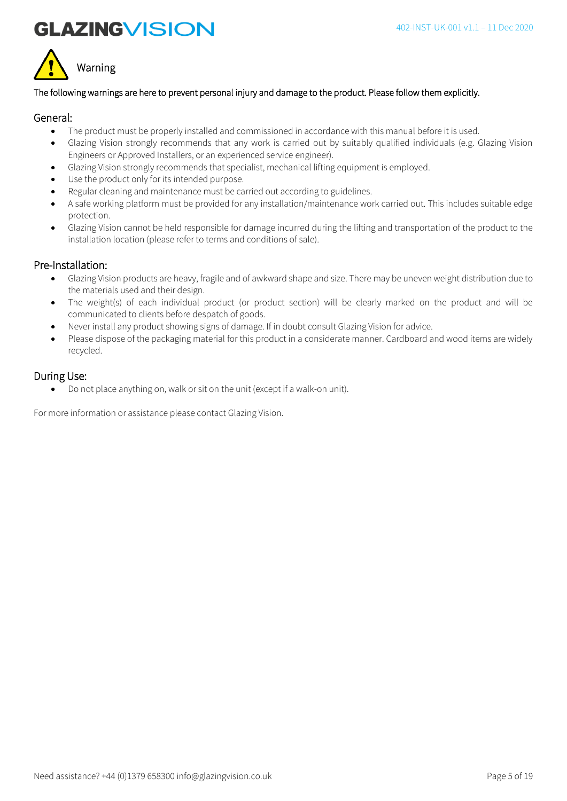



#### The following warnings are here to prevent personal injury and damage to the product. Please follow them explicitly.

#### General:

- The product must be properly installed and commissioned in accordance with this manual before it is used.
- Glazing Vision strongly recommends that any work is carried out by suitably qualified individuals (e.g. Glazing Vision Engineers or Approved Installers, or an experienced service engineer).
- Glazing Vision strongly recommends that specialist, mechanical lifting equipment is employed.
- Use the product only for its intended purpose.
- Regular cleaning and maintenance must be carried out according to guidelines.
- A safe working platform must be provided for any installation/maintenance work carried out. This includes suitable edge protection.
- Glazing Vision cannot be held responsible for damage incurred during the lifting and transportation of the product to the installation location (please refer to terms and conditions of sale).

#### Pre-Installation:

- Glazing Vision products are heavy, fragile and of awkward shape and size. There may be uneven weight distribution due to the materials used and their design.
- The weight(s) of each individual product (or product section) will be clearly marked on the product and will be communicated to clients before despatch of goods.
- Never install any product showing signs of damage. If in doubt consult Glazing Vision for advice.
- Please dispose of the packaging material for this product in a considerate manner. Cardboard and wood items are widely recycled.

#### During Use:

• Do not place anything on, walk or sit on the unit (except if a walk-on unit).

For more information or assistance please contact Glazing Vision.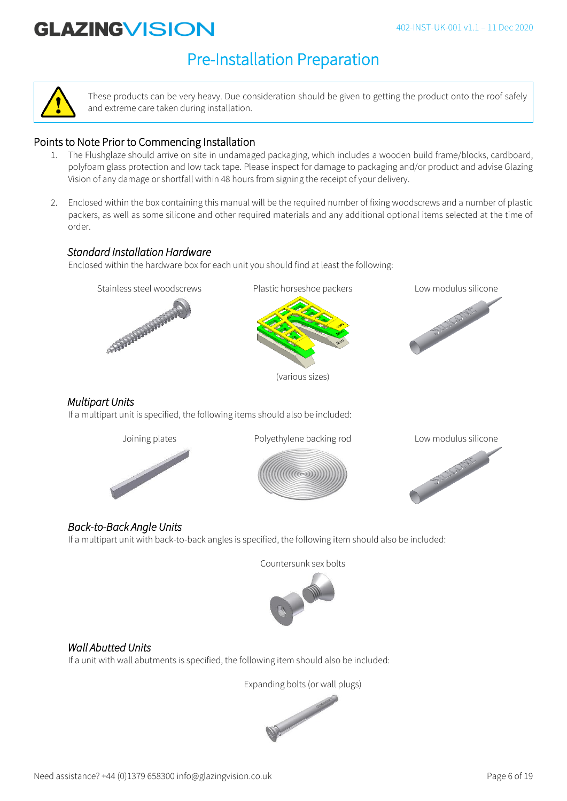# Pre-Installation Preparation



These products can be very heavy. Due consideration should be given to getting the product onto the roof safely and extreme care taken during installation.

### Points to Note Prior to Commencing Installation

- 1. The Flushglaze should arrive on site in undamaged packaging, which includes a wooden build frame/blocks, cardboard, polyfoam glass protection and low tack tape. Please inspect for damage to packaging and/or product and advise Glazing Vision of any damage or shortfall within 48 hours from signing the receipt of your delivery.
- 2. Enclosed within the box containing this manual will be the required number of fixing woodscrews and a number of plastic packers, as well as some silicone and other required materials and any additional optional items selected at the time of order.

### *Standard Installation Hardware*

Enclosed within the hardware box for each unit you should find at least the following:





(various sizes)



#### *Multipart Units*

If a multipart unit is specified, the following items should also be included:







## *Back-to-Back Angle Units*

If a multipart unit with back-to-back angles is specified, the following item should also be included:

Countersunk sex bolts



## *Wall Abutted Units*

If a unit with wall abutments is specified, the following item should also be included:

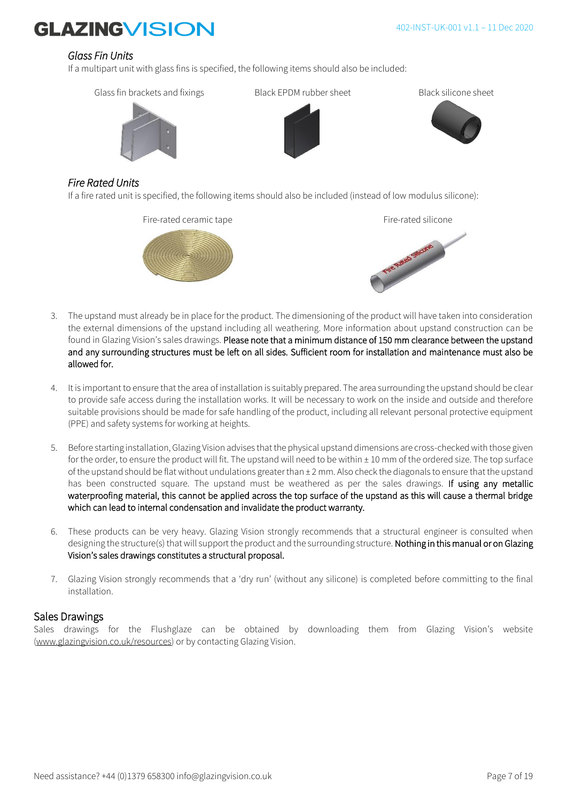### *Glass Fin Units*

If a multipart unit with glass fins is specified, the following items should also be included:



### *Fire Rated Units*

If a fire rated unit is specified, the following items should also be included (instead of low modulus silicone):





- 3. The upstand must already be in place for the product. The dimensioning of the product will have taken into consideration the external dimensions of the upstand including all weathering. More information about upstand construction can be found in Glazing Vision's sales drawings. Please note that a minimum distance of 150 mm clearance between the upstand and any surrounding structures must be left on all sides. Sufficient room for installation and maintenance must also be allowed for.
- 4. It is important to ensure that the area of installation is suitably prepared. The area surrounding the upstand should be clear to provide safe access during the installation works. It will be necessary to work on the inside and outside and therefore suitable provisions should be made for safe handling of the product, including all relevant personal protective equipment (PPE) and safety systems for working at heights.
- 5. Before starting installation, Glazing Vision advises that the physical upstand dimensions are cross-checked with those given for the order, to ensure the product will fit. The upstand will need to be within ± 10 mm of the ordered size. The top surface of the upstand should be flat without undulations greater than ± 2 mm. Also check the diagonals to ensure that the upstand has been constructed square. The upstand must be weathered as per the sales drawings. If using any metallic waterproofing material, this cannot be applied across the top surface of the upstand as this will cause a thermal bridge which can lead to internal condensation and invalidate the product warranty.
- 6. These products can be very heavy. Glazing Vision strongly recommends that a structural engineer is consulted when designing the structure(s) that will support the product and the surrounding structure. Nothing in this manual or on Glazing Vision's sales drawings constitutes a structural proposal.
- 7. Glazing Vision strongly recommends that a 'dry run' (without any silicone) is completed before committing to the final installation.

### Sales Drawings

Sales drawings for the Flushglaze can be obtained by downloading them from Glazing Vision's website [\(www.glazingvision.co.uk/resources\)](http://www.glazingvision.co.uk/resources) or by contacting Glazing Vision.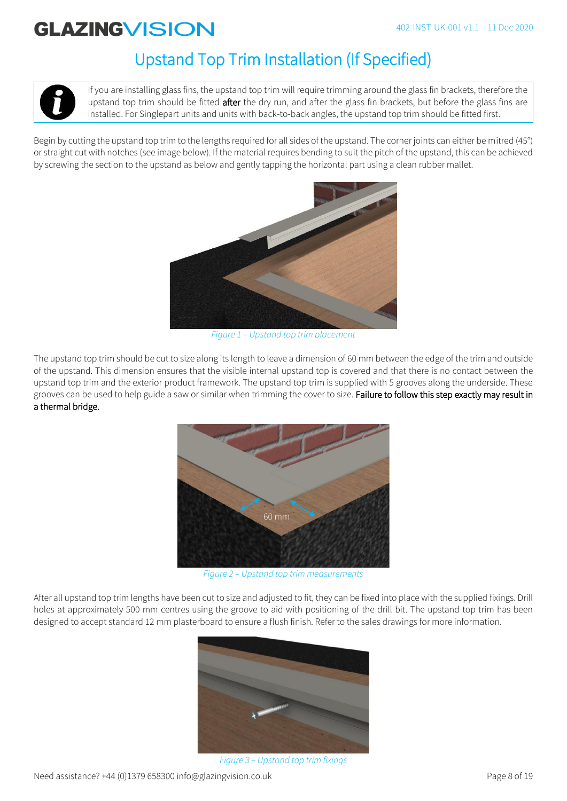# Upstand Top Trim Installation (If Specified)

If you are installing glass fins, the upstand top trim will require trimming around the glass fin brackets, therefore the upstand top trim should be fitted after the dry run, and after the glass fin brackets, but before the glass fins are installed. For Singlepart units and units with back-to-back angles, the upstand top trim should be fitted first.

Begin by cutting the upstand top trim to the lengths required for all sides of the upstand. The corner joints can either be mitred (45°) or straight cut with notches (see image below). If the material requires bending to suit the pitch of the upstand, this can be achieved by screwing the section to the upstand as below and gently tapping the horizontal part using a clean rubber mallet.



*Figure 1 – Upstand top trim placement* 

The upstand top trim should be cut to size along its length to leave a dimension of 60 mm between the edge of the trim and outside of the upstand. This dimension ensures that the visible internal upstand top is covered and that there is no contact between the upstand top trim and the exterior product framework. The upstand top trim is supplied with 5 grooves along the underside. These grooves can be used to help guide a saw or similar when trimming the cover to size. Failure to follow this step exactly may result in a thermal bridge.



*Figure 2 – Upstand top trim measurements*

After all upstand top trim lengths have been cut to size and adjusted to fit, they can be fixed into place with the supplied fixings. Drill holes at approximately 500 mm centres using the groove to aid with positioning of the drill bit. The upstand top trim has been designed to accept standard 12 mm plasterboard to ensure a flush finish. Refer to the sales drawings for more information.



*Figure 3 – Upstand top trim fixings*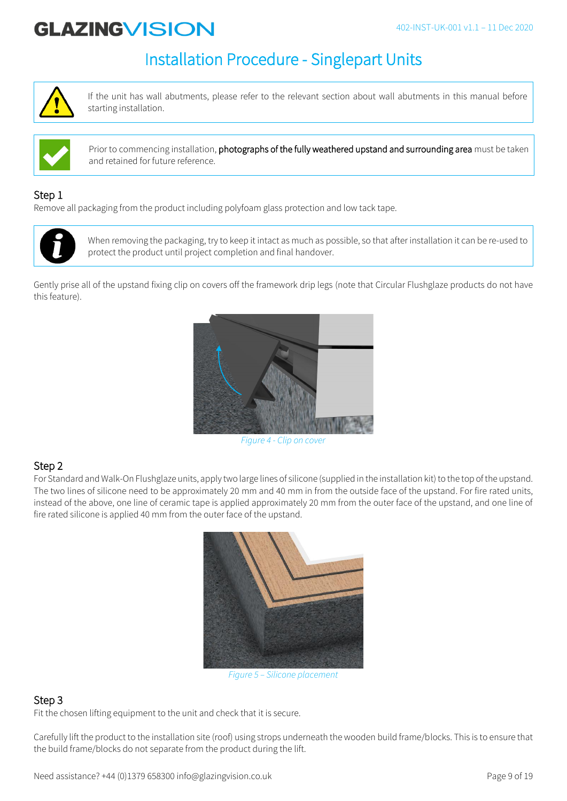# Installation Procedure - Singlepart Units



If the unit has wall abutments, please refer to the relevant section about wall abutments in this manual before starting installation.



Prior to commencing installation, photographs of the fully weathered upstand and surrounding area must be taken and retained for future reference.

## Step 1

Remove all packaging from the product including polyfoam glass protection and low tack tape.



When removing the packaging, try to keep it intact as much as possible, so that after installation it can be re-used to protect the product until project completion and final handover.

Gently prise all of the upstand fixing clip on covers off the framework drip legs (note that Circular Flushglaze products do not have this feature).



*Figure 4 - Clip on cover*

## Step 2

For Standard and Walk-On Flushglaze units, apply two large lines of silicone (supplied in the installation kit) to the top of the upstand. The two lines of silicone need to be approximately 20 mm and 40 mm in from the outside face of the upstand. For fire rated units, instead of the above, one line of ceramic tape is applied approximately 20 mm from the outer face of the upstand, and one line of fire rated silicone is applied 40 mm from the outer face of the upstand.



*Figure 5 – Silicone placement*

## Step 3

Fit the chosen lifting equipment to the unit and check that it is secure.

Carefully lift the product to the installation site (roof) using strops underneath the wooden build frame/blocks. This is to ensure that the build frame/blocks do not separate from the product during the lift.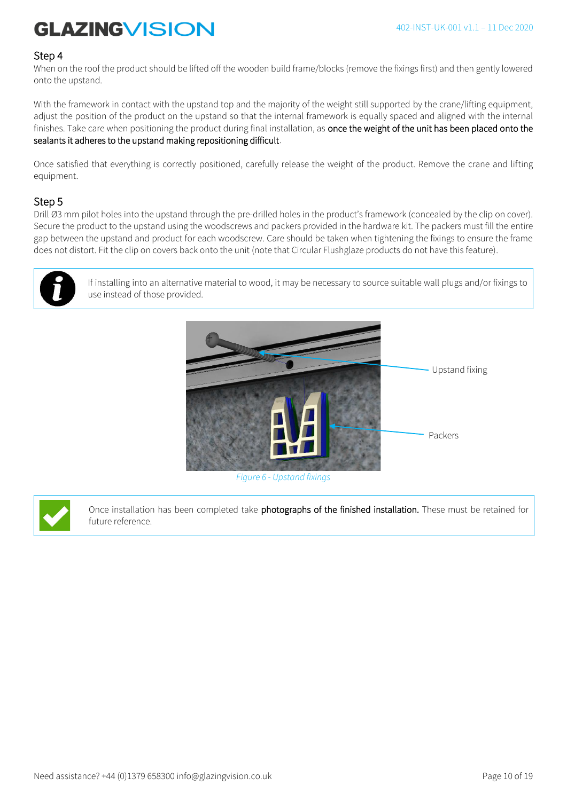#### Step 4

When on the roof the product should be lifted off the wooden build frame/blocks (remove the fixings first) and then gently lowered onto the upstand.

With the framework in contact with the upstand top and the majority of the weight still supported by the crane/lifting equipment, adjust the position of the product on the upstand so that the internal framework is equally spaced and aligned with the internal finishes. Take care when positioning the product during final installation, as once the weight of the unit has been placed onto the sealants it adheres to the upstand making repositioning difficult.

Once satisfied that everything is correctly positioned, carefully release the weight of the product. Remove the crane and lifting equipment.

### Step 5

Drill Ø3 mm pilot holes into the upstand through the pre-drilled holes in the product's framework (concealed by the clip on cover). Secure the product to the upstand using the woodscrews and packers provided in the hardware kit. The packers must fill the entire gap between the upstand and product for each woodscrew. Care should be taken when tightening the fixings to ensure the frame does not distort. Fit the clip on covers back onto the unit (note that Circular Flushglaze products do not have this feature).



If installing into an alternative material to wood, it may be necessary to source suitable wall plugs and/or fixings to use instead of those provided.



*Figure 6 - Upstand fixings*

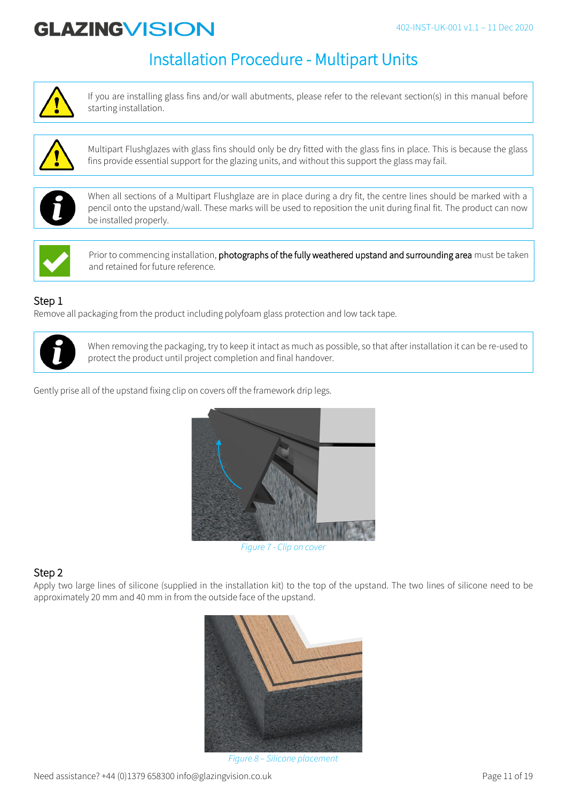# Installation Procedure - Multipart Units



If you are installing glass fins and/or wall abutments, please refer to the relevant section(s) in this manual before starting installation.



Multipart Flushglazes with glass fins should only be dry fitted with the glass fins in place. This is because the glass fins provide essential support for the glazing units, and without this support the glass may fail.



When all sections of a Multipart Flushglaze are in place during a dry fit, the centre lines should be marked with a pencil onto the upstand/wall. These marks will be used to reposition the unit during final fit. The product can now be installed properly.



Prior to commencing installation, photographs of the fully weathered upstand and surrounding area must be taken and retained for future reference.

## Step 1

Remove all packaging from the product including polyfoam glass protection and low tack tape.



When removing the packaging, try to keep it intact as much as possible, so that after installation it can be re-used to protect the product until project completion and final handover.

Gently prise all of the upstand fixing clip on covers off the framework drip legs.



*Figure 7 - Clip on cover*

## Step 2

Apply two large lines of silicone (supplied in the installation kit) to the top of the upstand. The two lines of silicone need to be approximately 20 mm and 40 mm in from the outside face of the upstand.



*Figure 8 – Silicone placement*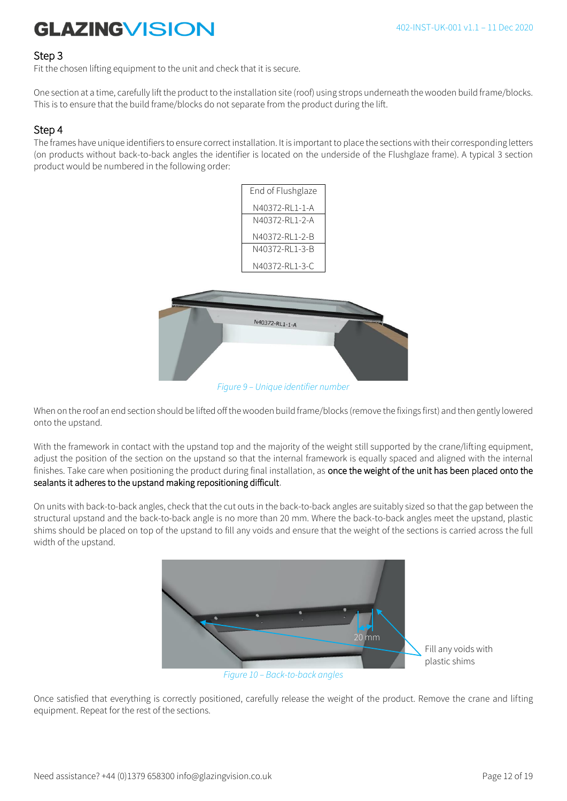#### Step 3

Fit the chosen lifting equipment to the unit and check that it is secure.

One section at a time, carefully lift the product to the installation site (roof) using strops underneath the wooden build frame/blocks. This is to ensure that the build frame/blocks do not separate from the product during the lift.

### Step 4

The frames have unique identifiers to ensure correct installation. It is important to place the sections with their corresponding letters (on products without back-to-back angles the identifier is located on the underside of the Flushglaze frame). A typical 3 section product would be numbered in the following order:

| End of Flushglaze |  |
|-------------------|--|
| N40372-RL1-1-A    |  |
| N40372-RL1-2-A    |  |
| N40372-RL1-2-B    |  |
| N40372-RL1-3-B    |  |
| N40372-RL1-3-C    |  |
|                   |  |
|                   |  |
|                   |  |



*Figure 9 – Unique identifier number*

When on the roof an end section should be lifted off the wooden build frame/blocks (remove the fixings first) and then gently lowered onto the upstand.

With the framework in contact with the upstand top and the majority of the weight still supported by the crane/lifting equipment, adjust the position of the section on the upstand so that the internal framework is equally spaced and aligned with the internal finishes. Take care when positioning the product during final installation, as once the weight of the unit has been placed onto the sealants it adheres to the upstand making repositioning difficult.

On units with back-to-back angles, check that the cut outs in the back-to-back angles are suitably sized so that the gap between the structural upstand and the back-to-back angle is no more than 20 mm. Where the back-to-back angles meet the upstand, plastic shims should be placed on top of the upstand to fill any voids and ensure that the weight of the sections is carried across the full width of the upstand.



*Figure 10 – Back-to-back angles*

Once satisfied that everything is correctly positioned, carefully release the weight of the product. Remove the crane and lifting equipment. Repeat for the rest of the sections.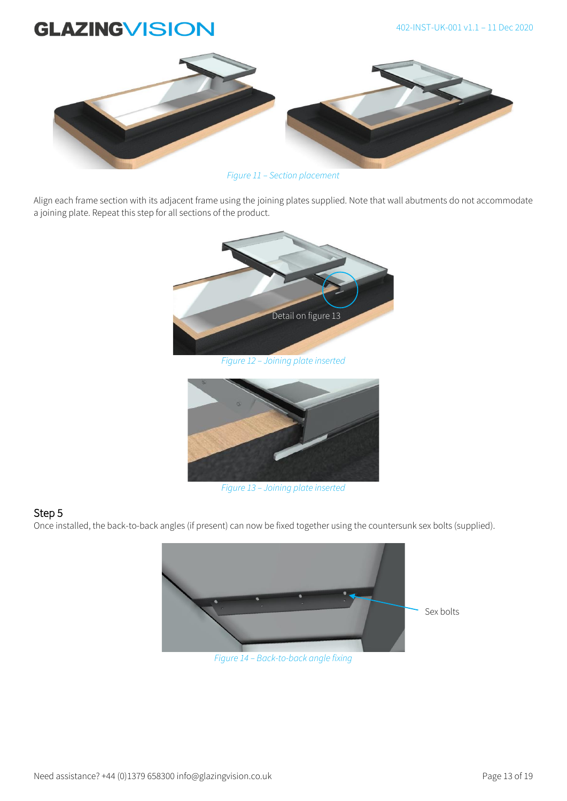

*Figure 11 – Section placement*

Align each frame section with its adjacent frame using the joining plates supplied. Note that wall abutments do not accommodate a joining plate. Repeat this step for all sections of the product.





*Figure 13 – Joining plate inserted*

### Step 5

Once installed, the back-to-back angles (if present) can now be fixed together using the countersunk sex bolts (supplied).



*Figure 14 – Back-to-back angle fixing*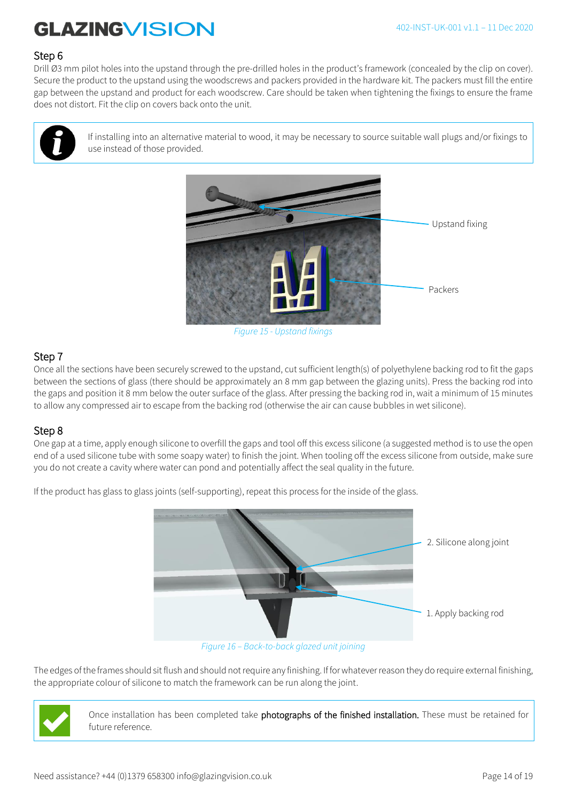### Step 6

Drill Ø3 mm pilot holes into the upstand through the pre-drilled holes in the product's framework (concealed by the clip on cover). Secure the product to the upstand using the woodscrews and packers provided in the hardware kit. The packers must fill the entire gap between the upstand and product for each woodscrew. Care should be taken when tightening the fixings to ensure the frame does not distort. Fit the clip on covers back onto the unit.



If installing into an alternative material to wood, it may be necessary to source suitable wall plugs and/or fixings to use instead of those provided.



*Figure 15 - Upstand fixings*

### Step 7

Once all the sections have been securely screwed to the upstand, cut sufficient length(s) of polyethylene backing rod to fit the gaps between the sections of glass (there should be approximately an 8 mm gap between the glazing units). Press the backing rod into the gaps and position it 8 mm below the outer surface of the glass. After pressing the backing rod in, wait a minimum of 15 minutes to allow any compressed air to escape from the backing rod (otherwise the air can cause bubbles in wet silicone).

### Step 8

One gap at a time, apply enough silicone to overfill the gaps and tool off this excess silicone (a suggested method is to use the open end of a used silicone tube with some soapy water) to finish the joint. When tooling off the excess silicone from outside, make sure you do not create a cavity where water can pond and potentially affect the seal quality in the future.

> 2. Silicone along joint 1. Apply backing rod

If the product has glass to glass joints (self-supporting), repeat this process for the inside of the glass.

*Figure 16 – Back-to-back glazed unit joining*

The edges of the frames should sit flush and should not require any finishing. If for whatever reason they do require external finishing, the appropriate colour of silicone to match the framework can be run along the joint.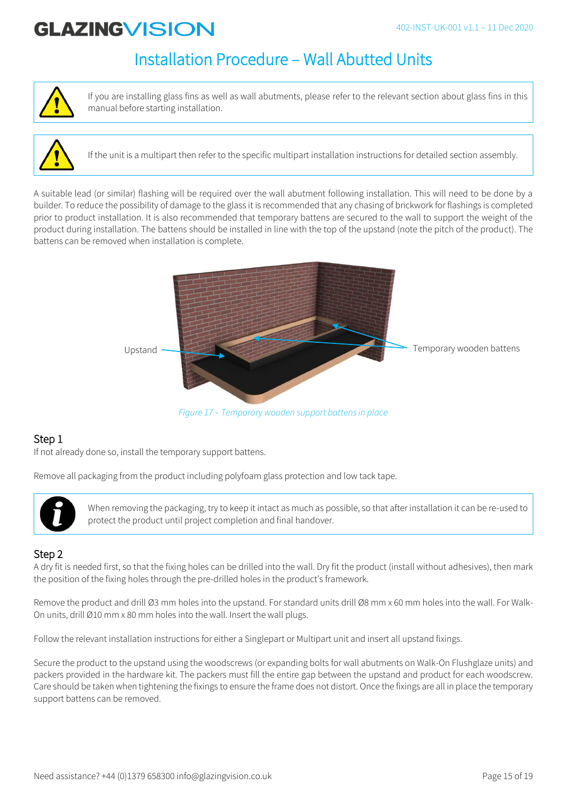## Installation Procedure – Wall Abutted Units



If you are installing glass fins as well as wall abutments, please refer to the relevant section about glass fins in this manual before starting installation.



If the unit is a multipart then refer to the specific multipart installation instructions for detailed section assembly.

A suitable lead (or similar) flashing will be required over the wall abutment following installation. This will need to be done by a builder. To reduce the possibility of damage to the glass it is recommended that any chasing of brickwork for flashings is completed prior to product installation. It is also recommended that temporary battens are secured to the wall to support the weight of the product during installation. The battens should be installed in line with the top of the upstand (note the pitch of the product). The battens can be removed when installation is complete.



*Figure 17 – Temporary wooden support battens in place*

### Step 1

If not already done so, install the temporary support battens.

Remove all packaging from the product including polyfoam glass protection and low tack tape.



When removing the packaging, try to keep it intact as much as possible, so that after installation it can be re-used to protect the product until project completion and final handover.

### Step 2

A dry fit is needed first, so that the fixing holes can be drilled into the wall. Dry fit the product (install without adhesives), then mark the position of the fixing holes through the pre-drilled holes in the product's framework.

Remove the product and drill Ø3 mm holes into the upstand. For standard units drill Ø8 mm x 60 mm holes into the wall. For Walk-On units, drill Ø10 mm x 80 mm holes into the wall. Insert the wall plugs.

Follow the relevant installation instructions for either a Singlepart or Multipart unit and insert all upstand fixings.

Secure the product to the upstand using the woodscrews (or expanding bolts for wall abutments on Walk-On Flushglaze units) and packers provided in the hardware kit. The packers must fill the entire gap between the upstand and product for each woodscrew. Care should be taken when tightening the fixings to ensure the frame does not distort. Once the fixings are all in place the temporary support battens can be removed.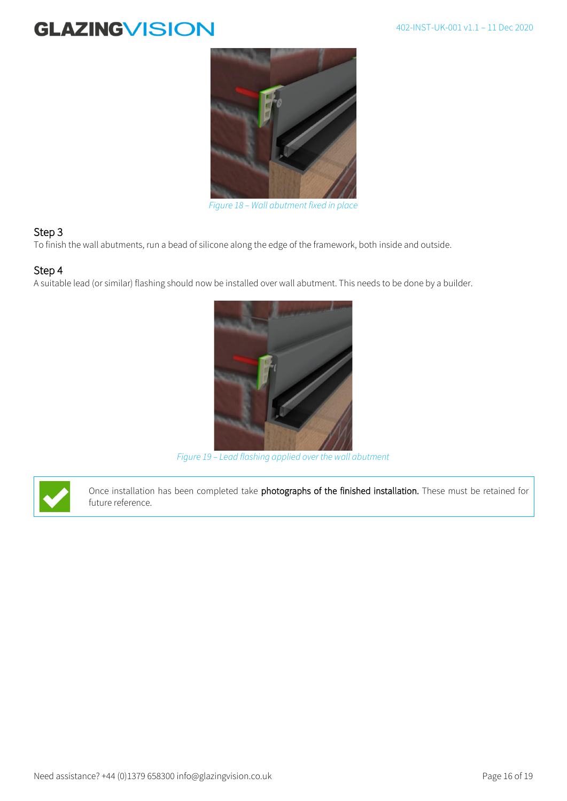

*Figure 18 – Wall abutment fixed in place*

### Step 3

To finish the wall abutments, run a bead of silicone along the edge of the framework, both inside and outside.

#### Step 4

A suitable lead (or similar) flashing should now be installed over wall abutment. This needs to be done by a builder.



*Figure 19 – Lead flashing applied over the wall abutment*

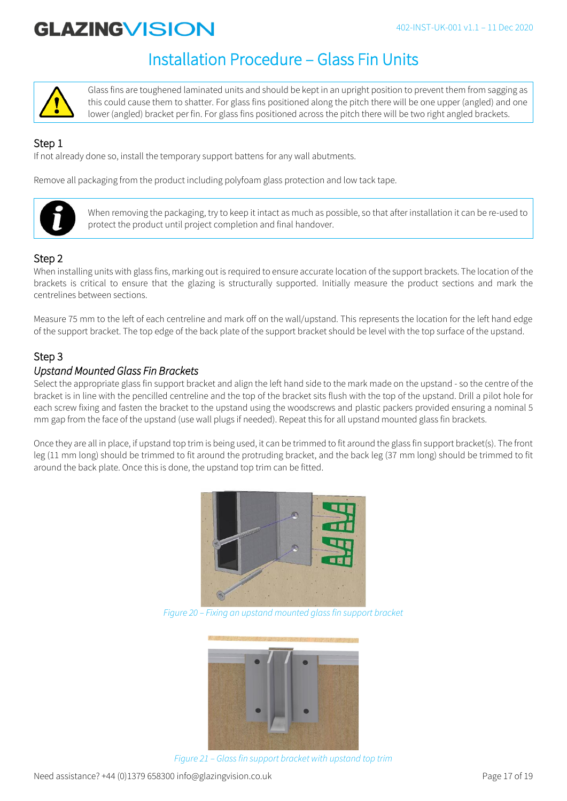# Installation Procedure – Glass Fin Units



Glass fins are toughened laminated units and should be kept in an upright position to prevent them from sagging as this could cause them to shatter. For glass fins positioned along the pitch there will be one upper (angled) and one lower (angled) bracket per fin. For glass fins positioned across the pitch there will be two right angled brackets.

## Step 1

If not already done so, install the temporary support battens for any wall abutments.

Remove all packaging from the product including polyfoam glass protection and low tack tape.



When removing the packaging, try to keep it intact as much as possible, so that after installation it can be re-used to protect the product until project completion and final handover.

## Step 2

When installing units with glass fins, marking out is required to ensure accurate location of the support brackets. The location of the brackets is critical to ensure that the glazing is structurally supported. Initially measure the product sections and mark the centrelines between sections.

Measure 75 mm to the left of each centreline and mark off on the wall/upstand. This represents the location for the left hand edge of the support bracket. The top edge of the back plate of the support bracket should be level with the top surface of the upstand.

## Step 3

### *Upstand Mounted Glass Fin Brackets*

Select the appropriate glass fin support bracket and align the left hand side to the mark made on the upstand - so the centre of the bracket is in line with the pencilled centreline and the top of the bracket sits flush with the top of the upstand. Drill a pilot hole for each screw fixing and fasten the bracket to the upstand using the woodscrews and plastic packers provided ensuring a nominal 5 mm gap from the face of the upstand (use wall plugs if needed). Repeat this for all upstand mounted glass fin brackets.

Once they are all in place, if upstand top trim is being used, it can be trimmed to fit around the glass fin support bracket(s). The front leg (11 mm long) should be trimmed to fit around the protruding bracket, and the back leg (37 mm long) should be trimmed to fit around the back plate. Once this is done, the upstand top trim can be fitted.



*Figure 20 – Fixing an upstand mounted glass fin support bracket* 



*Figure 21 – Glass fin support bracket with upstand top trim*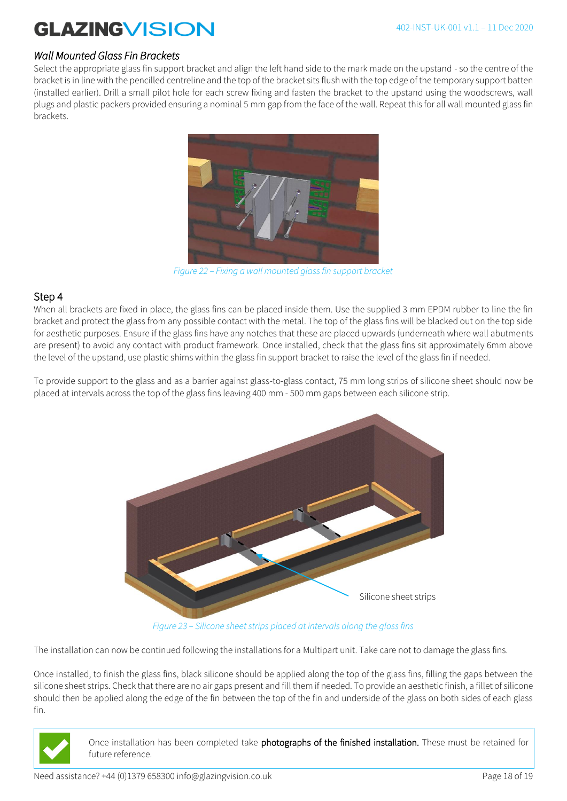### *Wall Mounted Glass Fin Brackets*

Select the appropriate glass fin support bracket and align the left hand side to the mark made on the upstand - so the centre of the bracket is in line with the pencilled centreline and the top of the bracket sits flush with the top edge of the temporary support batten (installed earlier). Drill a small pilot hole for each screw fixing and fasten the bracket to the upstand using the woodscrews, wall plugs and plastic packers provided ensuring a nominal 5 mm gap from the face of the wall. Repeat this for all wall mounted glass fin brackets.



*Figure 22 – Fixing a wall mounted glass fin support bracket*

#### Step 4

When all brackets are fixed in place, the glass fins can be placed inside them. Use the supplied 3 mm EPDM rubber to line the fin bracket and protect the glass from any possible contact with the metal. The top of the glass fins will be blacked out on the top side for aesthetic purposes. Ensure if the glass fins have any notches that these are placed upwards (underneath where wall abutments are present) to avoid any contact with product framework. Once installed, check that the glass fins sit approximately 6mm above the level of the upstand, use plastic shims within the glass fin support bracket to raise the level of the glass fin if needed.

To provide support to the glass and as a barrier against glass-to-glass contact, 75 mm long strips of silicone sheet should now be placed at intervals across the top of the glass fins leaving 400 mm - 500 mm gaps between each silicone strip.



*Figure 23 – Silicone sheet strips placed at intervals along the glass fins*

The installation can now be continued following the installations for a Multipart unit. Take care not to damage the glass fins.

Once installed, to finish the glass fins, black silicone should be applied along the top of the glass fins, filling the gaps between the silicone sheet strips. Check that there are no air gaps present and fill them if needed. To provide an aesthetic finish, a fillet of silicone should then be applied along the edge of the fin between the top of the fin and underside of the glass on both sides of each glass fin.